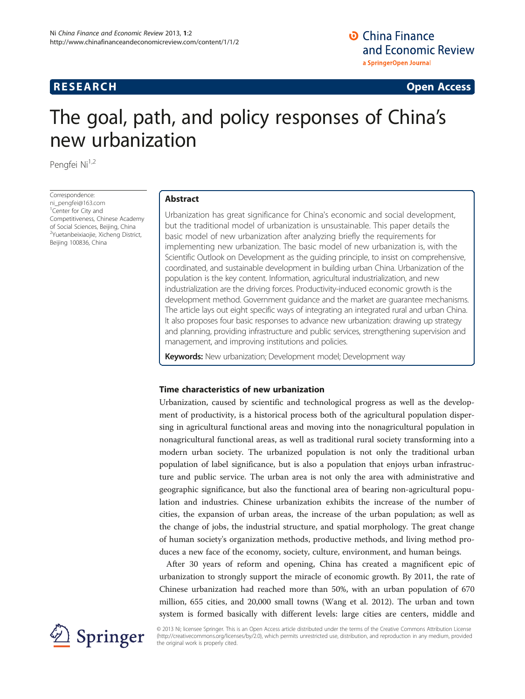# **RESEARCH RESEARCH CONSUMING ACCESS**

# The goal, path, and policy responses of China's new urbanization

Pengfei Ni<sup>1,2</sup>

Correspondence: [ni\\_pengfei@163.com](mailto:ni_pengfei@163.com) <sup>1</sup> Center for City and Competitiveness, Chinese Academy of Social Sciences, Beijing, China 2 Yuetanbeixiaojie, Xicheng District, Beijing 100836, China

# Abstract

Urbanization has great significance for China's economic and social development, but the traditional model of urbanization is unsustainable. This paper details the basic model of new urbanization after analyzing briefly the requirements for implementing new urbanization. The basic model of new urbanization is, with the Scientific Outlook on Development as the guiding principle, to insist on comprehensive, coordinated, and sustainable development in building urban China. Urbanization of the population is the key content. Information, agricultural industrialization, and new industrialization are the driving forces. Productivity-induced economic growth is the development method. Government guidance and the market are guarantee mechanisms. The article lays out eight specific ways of integrating an integrated rural and urban China. It also proposes four basic responses to advance new urbanization: drawing up strategy and planning, providing infrastructure and public services, strengthening supervision and management, and improving institutions and policies.

Keywords: New urbanization; Development model; Development way

# Time characteristics of new urbanization

Urbanization, caused by scientific and technological progress as well as the development of productivity, is a historical process both of the agricultural population dispersing in agricultural functional areas and moving into the nonagricultural population in nonagricultural functional areas, as well as traditional rural society transforming into a modern urban society. The urbanized population is not only the traditional urban population of label significance, but is also a population that enjoys urban infrastructure and public service. The urban area is not only the area with administrative and geographic significance, but also the functional area of bearing non-agricultural population and industries. Chinese urbanization exhibits the increase of the number of cities, the expansion of urban areas, the increase of the urban population; as well as the change of jobs, the industrial structure, and spatial morphology. The great change of human society's organization methods, productive methods, and living method produces a new face of the economy, society, culture, environment, and human beings.

After 30 years of reform and opening, China has created a magnificent epic of urbanization to strongly support the miracle of economic growth. By 2011, the rate of Chinese urbanization had reached more than 50%, with an urban population of 670 million, 655 cities, and 20,000 small towns (Wang et al. [2012](#page-14-0)). The urban and town system is formed basically with different levels: large cities are centers, middle and



© 2013 Ni; licensee Springer. This is an Open Access article distributed under the terms of the Creative Commons Attribution License (<http://creativecommons.org/licenses/by/2.0>), which permits unrestricted use, distribution, and reproduction in any medium, provided the original work is properly cited.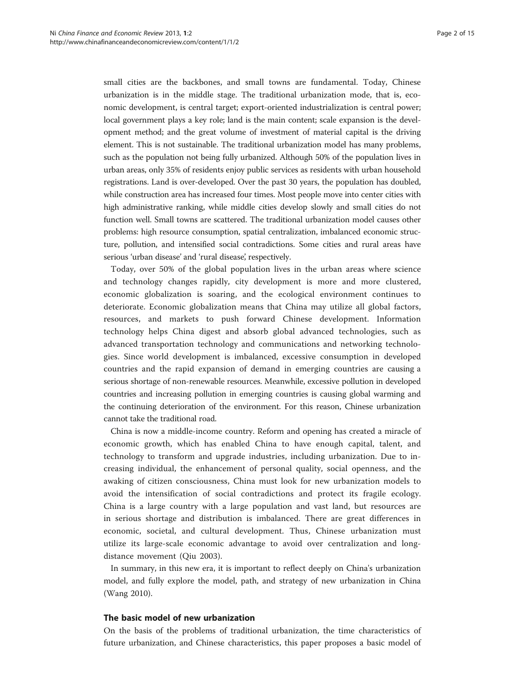small cities are the backbones, and small towns are fundamental. Today, Chinese urbanization is in the middle stage. The traditional urbanization mode, that is, economic development, is central target; export-oriented industrialization is central power; local government plays a key role; land is the main content; scale expansion is the development method; and the great volume of investment of material capital is the driving element. This is not sustainable. The traditional urbanization model has many problems, such as the population not being fully urbanized. Although 50% of the population lives in urban areas, only 35% of residents enjoy public services as residents with urban household registrations. Land is over-developed. Over the past 30 years, the population has doubled, while construction area has increased four times. Most people move into center cities with high administrative ranking, while middle cities develop slowly and small cities do not function well. Small towns are scattered. The traditional urbanization model causes other problems: high resource consumption, spatial centralization, imbalanced economic structure, pollution, and intensified social contradictions. Some cities and rural areas have serious 'urban disease' and 'rural disease', respectively.

Today, over 50% of the global population lives in the urban areas where science and technology changes rapidly, city development is more and more clustered, economic globalization is soaring, and the ecological environment continues to deteriorate. Economic globalization means that China may utilize all global factors, resources, and markets to push forward Chinese development. Information technology helps China digest and absorb global advanced technologies, such as advanced transportation technology and communications and networking technologies. Since world development is imbalanced, excessive consumption in developed countries and the rapid expansion of demand in emerging countries are causing a serious shortage of non-renewable resources. Meanwhile, excessive pollution in developed countries and increasing pollution in emerging countries is causing global warming and the continuing deterioration of the environment. For this reason, Chinese urbanization cannot take the traditional road.

China is now a middle-income country. Reform and opening has created a miracle of economic growth, which has enabled China to have enough capital, talent, and technology to transform and upgrade industries, including urbanization. Due to increasing individual, the enhancement of personal quality, social openness, and the awaking of citizen consciousness, China must look for new urbanization models to avoid the intensification of social contradictions and protect its fragile ecology. China is a large country with a large population and vast land, but resources are in serious shortage and distribution is imbalanced. There are great differences in economic, societal, and cultural development. Thus, Chinese urbanization must utilize its large-scale economic advantage to avoid over centralization and longdistance movement (Qiu [2003\)](#page-14-0).

In summary, in this new era, it is important to reflect deeply on China's urbanization model, and fully explore the model, path, and strategy of new urbanization in China (Wang [2010\)](#page-14-0).

## The basic model of new urbanization

On the basis of the problems of traditional urbanization, the time characteristics of future urbanization, and Chinese characteristics, this paper proposes a basic model of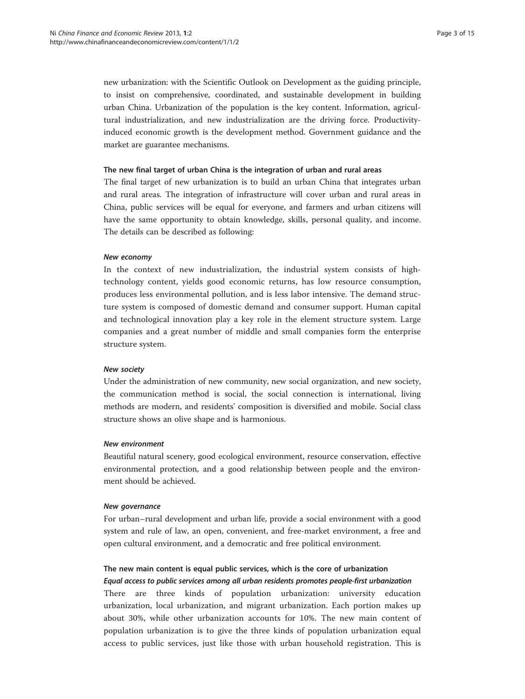new urbanization: with the Scientific Outlook on Development as the guiding principle, to insist on comprehensive, coordinated, and sustainable development in building urban China. Urbanization of the population is the key content. Information, agricultural industrialization, and new industrialization are the driving force. Productivityinduced economic growth is the development method. Government guidance and the market are guarantee mechanisms.

## The new final target of urban China is the integration of urban and rural areas

The final target of new urbanization is to build an urban China that integrates urban and rural areas. The integration of infrastructure will cover urban and rural areas in China, public services will be equal for everyone, and farmers and urban citizens will have the same opportunity to obtain knowledge, skills, personal quality, and income. The details can be described as following:

## New economy

In the context of new industrialization, the industrial system consists of hightechnology content, yields good economic returns, has low resource consumption, produces less environmental pollution, and is less labor intensive. The demand structure system is composed of domestic demand and consumer support. Human capital and technological innovation play a key role in the element structure system. Large companies and a great number of middle and small companies form the enterprise structure system.

## New society

Under the administration of new community, new social organization, and new society, the communication method is social, the social connection is international, living methods are modern, and residents' composition is diversified and mobile. Social class structure shows an olive shape and is harmonious.

## New environment

Beautiful natural scenery, good ecological environment, resource conservation, effective environmental protection, and a good relationship between people and the environment should be achieved.

## New governance

For urban–rural development and urban life, provide a social environment with a good system and rule of law, an open, convenient, and free-market environment, a free and open cultural environment, and a democratic and free political environment.

# The new main content is equal public services, which is the core of urbanization

Equal access to public services among all urban residents promotes people-first urbanization There are three kinds of population urbanization: university education urbanization, local urbanization, and migrant urbanization. Each portion makes up about 30%, while other urbanization accounts for 10%. The new main content of population urbanization is to give the three kinds of population urbanization equal access to public services, just like those with urban household registration. This is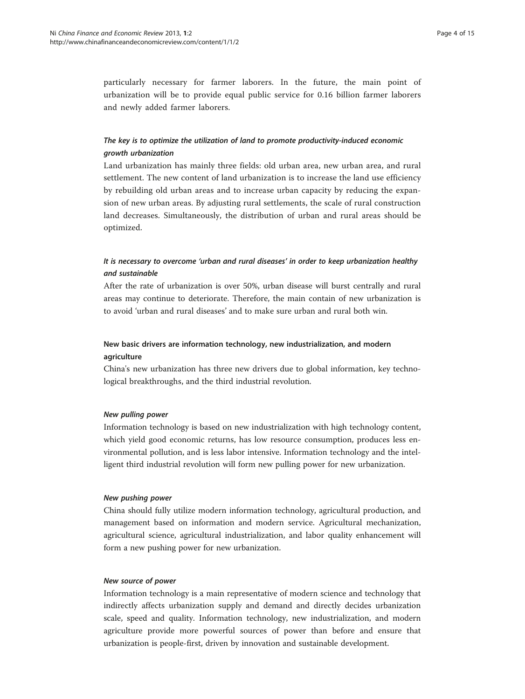particularly necessary for farmer laborers. In the future, the main point of urbanization will be to provide equal public service for 0.16 billion farmer laborers and newly added farmer laborers.

# The key is to optimize the utilization of land to promote productivity-induced economic growth urbanization

Land urbanization has mainly three fields: old urban area, new urban area, and rural settlement. The new content of land urbanization is to increase the land use efficiency by rebuilding old urban areas and to increase urban capacity by reducing the expansion of new urban areas. By adjusting rural settlements, the scale of rural construction land decreases. Simultaneously, the distribution of urban and rural areas should be optimized.

# It is necessary to overcome 'urban and rural diseases' in order to keep urbanization healthy and sustainable

After the rate of urbanization is over 50%, urban disease will burst centrally and rural areas may continue to deteriorate. Therefore, the main contain of new urbanization is to avoid 'urban and rural diseases' and to make sure urban and rural both win.

# New basic drivers are information technology, new industrialization, and modern agriculture

China's new urbanization has three new drivers due to global information, key technological breakthroughs, and the third industrial revolution.

# New pulling power

Information technology is based on new industrialization with high technology content, which yield good economic returns, has low resource consumption, produces less environmental pollution, and is less labor intensive. Information technology and the intelligent third industrial revolution will form new pulling power for new urbanization.

## New pushing power

China should fully utilize modern information technology, agricultural production, and management based on information and modern service. Agricultural mechanization, agricultural science, agricultural industrialization, and labor quality enhancement will form a new pushing power for new urbanization.

# New source of power

Information technology is a main representative of modern science and technology that indirectly affects urbanization supply and demand and directly decides urbanization scale, speed and quality. Information technology, new industrialization, and modern agriculture provide more powerful sources of power than before and ensure that urbanization is people-first, driven by innovation and sustainable development.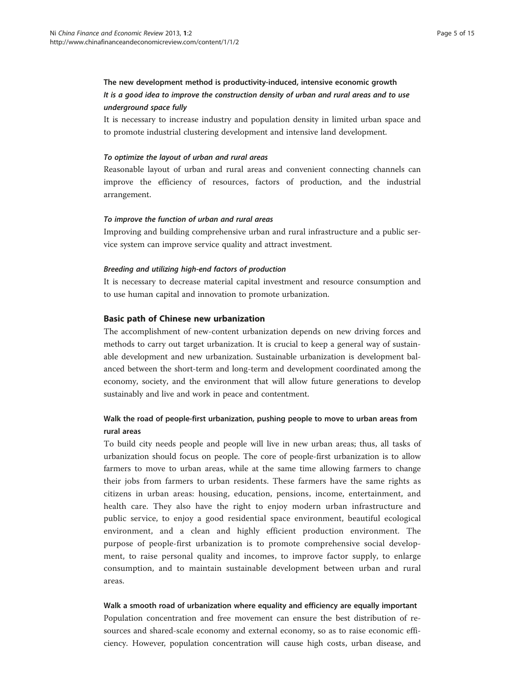# The new development method is productivity-induced, intensive economic growth It is a good idea to improve the construction density of urban and rural areas and to use underground space fully

It is necessary to increase industry and population density in limited urban space and to promote industrial clustering development and intensive land development.

## To optimize the layout of urban and rural areas

Reasonable layout of urban and rural areas and convenient connecting channels can improve the efficiency of resources, factors of production, and the industrial arrangement.

## To improve the function of urban and rural areas

Improving and building comprehensive urban and rural infrastructure and a public service system can improve service quality and attract investment.

## Breeding and utilizing high-end factors of production

It is necessary to decrease material capital investment and resource consumption and to use human capital and innovation to promote urbanization.

## Basic path of Chinese new urbanization

The accomplishment of new-content urbanization depends on new driving forces and methods to carry out target urbanization. It is crucial to keep a general way of sustainable development and new urbanization. Sustainable urbanization is development balanced between the short-term and long-term and development coordinated among the economy, society, and the environment that will allow future generations to develop sustainably and live and work in peace and contentment.

# Walk the road of people-first urbanization, pushing people to move to urban areas from rural areas

To build city needs people and people will live in new urban areas; thus, all tasks of urbanization should focus on people. The core of people-first urbanization is to allow farmers to move to urban areas, while at the same time allowing farmers to change their jobs from farmers to urban residents. These farmers have the same rights as citizens in urban areas: housing, education, pensions, income, entertainment, and health care. They also have the right to enjoy modern urban infrastructure and public service, to enjoy a good residential space environment, beautiful ecological environment, and a clean and highly efficient production environment. The purpose of people-first urbanization is to promote comprehensive social development, to raise personal quality and incomes, to improve factor supply, to enlarge consumption, and to maintain sustainable development between urban and rural areas.

# Walk a smooth road of urbanization where equality and efficiency are equally important

Population concentration and free movement can ensure the best distribution of resources and shared-scale economy and external economy, so as to raise economic efficiency. However, population concentration will cause high costs, urban disease, and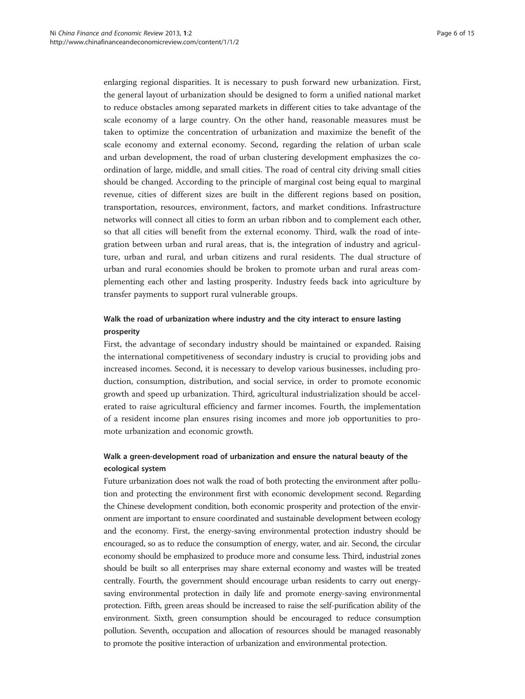enlarging regional disparities. It is necessary to push forward new urbanization. First, the general layout of urbanization should be designed to form a unified national market to reduce obstacles among separated markets in different cities to take advantage of the scale economy of a large country. On the other hand, reasonable measures must be taken to optimize the concentration of urbanization and maximize the benefit of the scale economy and external economy. Second, regarding the relation of urban scale and urban development, the road of urban clustering development emphasizes the coordination of large, middle, and small cities. The road of central city driving small cities should be changed. According to the principle of marginal cost being equal to marginal revenue, cities of different sizes are built in the different regions based on position, transportation, resources, environment, factors, and market conditions. Infrastructure networks will connect all cities to form an urban ribbon and to complement each other, so that all cities will benefit from the external economy. Third, walk the road of integration between urban and rural areas, that is, the integration of industry and agriculture, urban and rural, and urban citizens and rural residents. The dual structure of urban and rural economies should be broken to promote urban and rural areas complementing each other and lasting prosperity. Industry feeds back into agriculture by transfer payments to support rural vulnerable groups.

# Walk the road of urbanization where industry and the city interact to ensure lasting prosperity

First, the advantage of secondary industry should be maintained or expanded. Raising the international competitiveness of secondary industry is crucial to providing jobs and increased incomes. Second, it is necessary to develop various businesses, including production, consumption, distribution, and social service, in order to promote economic growth and speed up urbanization. Third, agricultural industrialization should be accelerated to raise agricultural efficiency and farmer incomes. Fourth, the implementation of a resident income plan ensures rising incomes and more job opportunities to promote urbanization and economic growth.

# Walk a green-development road of urbanization and ensure the natural beauty of the ecological system

Future urbanization does not walk the road of both protecting the environment after pollution and protecting the environment first with economic development second. Regarding the Chinese development condition, both economic prosperity and protection of the environment are important to ensure coordinated and sustainable development between ecology and the economy. First, the energy-saving environmental protection industry should be encouraged, so as to reduce the consumption of energy, water, and air. Second, the circular economy should be emphasized to produce more and consume less. Third, industrial zones should be built so all enterprises may share external economy and wastes will be treated centrally. Fourth, the government should encourage urban residents to carry out energysaving environmental protection in daily life and promote energy-saving environmental protection. Fifth, green areas should be increased to raise the self-purification ability of the environment. Sixth, green consumption should be encouraged to reduce consumption pollution. Seventh, occupation and allocation of resources should be managed reasonably to promote the positive interaction of urbanization and environmental protection.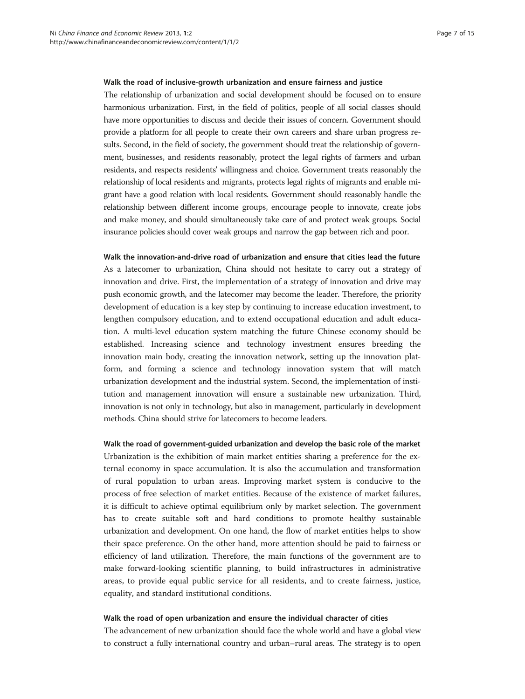#### Walk the road of inclusive-growth urbanization and ensure fairness and justice

The relationship of urbanization and social development should be focused on to ensure harmonious urbanization. First, in the field of politics, people of all social classes should have more opportunities to discuss and decide their issues of concern. Government should provide a platform for all people to create their own careers and share urban progress results. Second, in the field of society, the government should treat the relationship of government, businesses, and residents reasonably, protect the legal rights of farmers and urban residents, and respects residents' willingness and choice. Government treats reasonably the relationship of local residents and migrants, protects legal rights of migrants and enable migrant have a good relation with local residents. Government should reasonably handle the relationship between different income groups, encourage people to innovate, create jobs and make money, and should simultaneously take care of and protect weak groups. Social insurance policies should cover weak groups and narrow the gap between rich and poor.

Walk the innovation-and-drive road of urbanization and ensure that cities lead the future As a latecomer to urbanization, China should not hesitate to carry out a strategy of innovation and drive. First, the implementation of a strategy of innovation and drive may push economic growth, and the latecomer may become the leader. Therefore, the priority development of education is a key step by continuing to increase education investment, to lengthen compulsory education, and to extend occupational education and adult education. A multi-level education system matching the future Chinese economy should be established. Increasing science and technology investment ensures breeding the innovation main body, creating the innovation network, setting up the innovation platform, and forming a science and technology innovation system that will match urbanization development and the industrial system. Second, the implementation of institution and management innovation will ensure a sustainable new urbanization. Third, innovation is not only in technology, but also in management, particularly in development methods. China should strive for latecomers to become leaders.

Walk the road of government-guided urbanization and develop the basic role of the market Urbanization is the exhibition of main market entities sharing a preference for the external economy in space accumulation. It is also the accumulation and transformation of rural population to urban areas. Improving market system is conducive to the process of free selection of market entities. Because of the existence of market failures, it is difficult to achieve optimal equilibrium only by market selection. The government has to create suitable soft and hard conditions to promote healthy sustainable urbanization and development. On one hand, the flow of market entities helps to show their space preference. On the other hand, more attention should be paid to fairness or efficiency of land utilization. Therefore, the main functions of the government are to make forward-looking scientific planning, to build infrastructures in administrative areas, to provide equal public service for all residents, and to create fairness, justice, equality, and standard institutional conditions.

## Walk the road of open urbanization and ensure the individual character of cities

The advancement of new urbanization should face the whole world and have a global view to construct a fully international country and urban–rural areas. The strategy is to open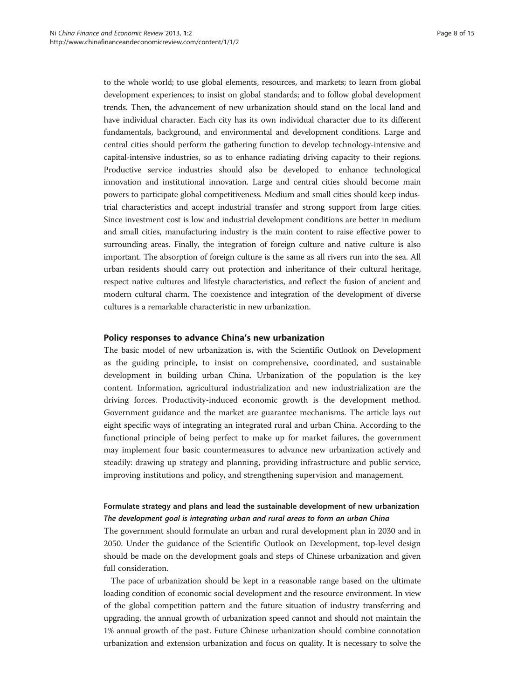to the whole world; to use global elements, resources, and markets; to learn from global development experiences; to insist on global standards; and to follow global development trends. Then, the advancement of new urbanization should stand on the local land and have individual character. Each city has its own individual character due to its different fundamentals, background, and environmental and development conditions. Large and central cities should perform the gathering function to develop technology-intensive and capital-intensive industries, so as to enhance radiating driving capacity to their regions. Productive service industries should also be developed to enhance technological innovation and institutional innovation. Large and central cities should become main powers to participate global competitiveness. Medium and small cities should keep industrial characteristics and accept industrial transfer and strong support from large cities. Since investment cost is low and industrial development conditions are better in medium and small cities, manufacturing industry is the main content to raise effective power to surrounding areas. Finally, the integration of foreign culture and native culture is also important. The absorption of foreign culture is the same as all rivers run into the sea. All urban residents should carry out protection and inheritance of their cultural heritage, respect native cultures and lifestyle characteristics, and reflect the fusion of ancient and modern cultural charm. The coexistence and integration of the development of diverse cultures is a remarkable characteristic in new urbanization.

## Policy responses to advance China's new urbanization

The basic model of new urbanization is, with the Scientific Outlook on Development as the guiding principle, to insist on comprehensive, coordinated, and sustainable development in building urban China. Urbanization of the population is the key content. Information, agricultural industrialization and new industrialization are the driving forces. Productivity-induced economic growth is the development method. Government guidance and the market are guarantee mechanisms. The article lays out eight specific ways of integrating an integrated rural and urban China. According to the functional principle of being perfect to make up for market failures, the government may implement four basic countermeasures to advance new urbanization actively and steadily: drawing up strategy and planning, providing infrastructure and public service, improving institutions and policy, and strengthening supervision and management.

# Formulate strategy and plans and lead the sustainable development of new urbanization The development goal is integrating urban and rural areas to form an urban China

The government should formulate an urban and rural development plan in 2030 and in 2050. Under the guidance of the Scientific Outlook on Development, top-level design should be made on the development goals and steps of Chinese urbanization and given full consideration.

The pace of urbanization should be kept in a reasonable range based on the ultimate loading condition of economic social development and the resource environment. In view of the global competition pattern and the future situation of industry transferring and upgrading, the annual growth of urbanization speed cannot and should not maintain the 1% annual growth of the past. Future Chinese urbanization should combine connotation urbanization and extension urbanization and focus on quality. It is necessary to solve the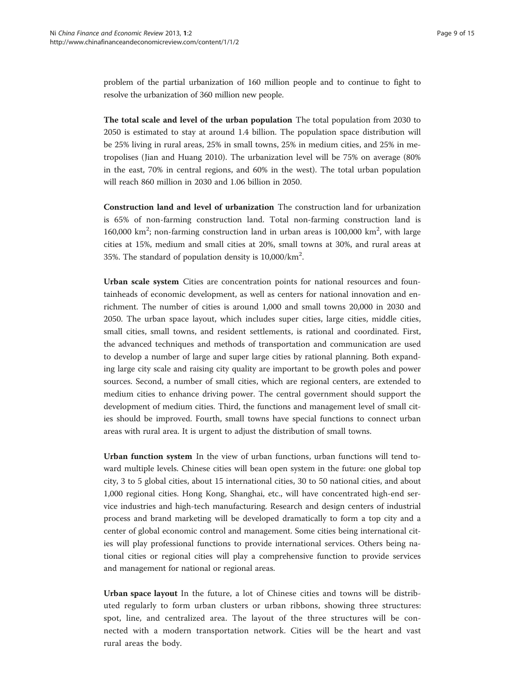problem of the partial urbanization of 160 million people and to continue to fight to resolve the urbanization of 360 million new people.

The total scale and level of the urban population The total population from 2030 to 2050 is estimated to stay at around 1.4 billion. The population space distribution will be 25% living in rural areas, 25% in small towns, 25% in medium cities, and 25% in metropolises (Jian and Huang [2010\)](#page-14-0). The urbanization level will be 75% on average (80% in the east, 70% in central regions, and 60% in the west). The total urban population will reach 860 million in 2030 and 1.06 billion in 2050.

Construction land and level of urbanization The construction land for urbanization is 65% of non-farming construction land. Total non-farming construction land is 160,000  $\text{km}^2$ ; non-farming construction land in urban areas is 100,000  $\text{km}^2$ , with large cities at 15%, medium and small cities at 20%, small towns at 30%, and rural areas at 35%. The standard of population density is  $10,000/km^2$ .

Urban scale system Cities are concentration points for national resources and fountainheads of economic development, as well as centers for national innovation and enrichment. The number of cities is around 1,000 and small towns 20,000 in 2030 and 2050. The urban space layout, which includes super cities, large cities, middle cities, small cities, small towns, and resident settlements, is rational and coordinated. First, the advanced techniques and methods of transportation and communication are used to develop a number of large and super large cities by rational planning. Both expanding large city scale and raising city quality are important to be growth poles and power sources. Second, a number of small cities, which are regional centers, are extended to medium cities to enhance driving power. The central government should support the development of medium cities. Third, the functions and management level of small cities should be improved. Fourth, small towns have special functions to connect urban areas with rural area. It is urgent to adjust the distribution of small towns.

Urban function system In the view of urban functions, urban functions will tend toward multiple levels. Chinese cities will bean open system in the future: one global top city, 3 to 5 global cities, about 15 international cities, 30 to 50 national cities, and about 1,000 regional cities. Hong Kong, Shanghai, etc., will have concentrated high-end service industries and high-tech manufacturing. Research and design centers of industrial process and brand marketing will be developed dramatically to form a top city and a center of global economic control and management. Some cities being international cities will play professional functions to provide international services. Others being national cities or regional cities will play a comprehensive function to provide services and management for national or regional areas.

Urban space layout In the future, a lot of Chinese cities and towns will be distributed regularly to form urban clusters or urban ribbons, showing three structures: spot, line, and centralized area. The layout of the three structures will be connected with a modern transportation network. Cities will be the heart and vast rural areas the body.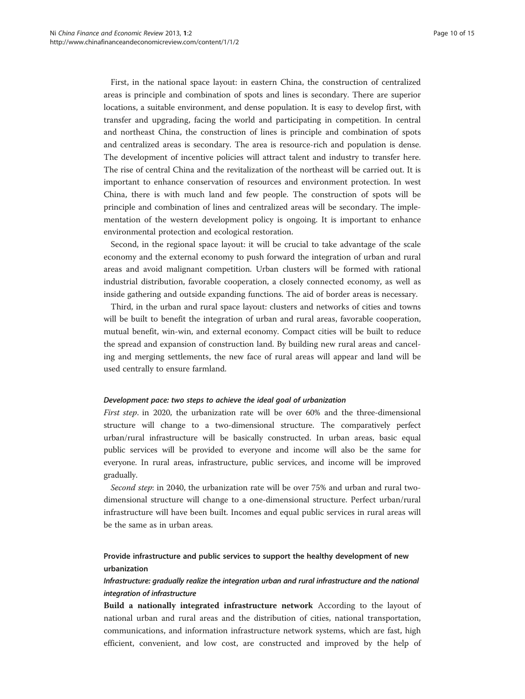First, in the national space layout: in eastern China, the construction of centralized areas is principle and combination of spots and lines is secondary. There are superior locations, a suitable environment, and dense population. It is easy to develop first, with transfer and upgrading, facing the world and participating in competition. In central and northeast China, the construction of lines is principle and combination of spots and centralized areas is secondary. The area is resource-rich and population is dense. The development of incentive policies will attract talent and industry to transfer here. The rise of central China and the revitalization of the northeast will be carried out. It is important to enhance conservation of resources and environment protection. In west China, there is with much land and few people. The construction of spots will be principle and combination of lines and centralized areas will be secondary. The implementation of the western development policy is ongoing. It is important to enhance environmental protection and ecological restoration.

Second, in the regional space layout: it will be crucial to take advantage of the scale economy and the external economy to push forward the integration of urban and rural areas and avoid malignant competition. Urban clusters will be formed with rational industrial distribution, favorable cooperation, a closely connected economy, as well as inside gathering and outside expanding functions. The aid of border areas is necessary.

Third, in the urban and rural space layout: clusters and networks of cities and towns will be built to benefit the integration of urban and rural areas, favorable cooperation, mutual benefit, win-win, and external economy. Compact cities will be built to reduce the spread and expansion of construction land. By building new rural areas and canceling and merging settlements, the new face of rural areas will appear and land will be used centrally to ensure farmland.

### Development pace: two steps to achieve the ideal goal of urbanization

First step. in 2020, the urbanization rate will be over 60% and the three-dimensional structure will change to a two-dimensional structure. The comparatively perfect urban/rural infrastructure will be basically constructed. In urban areas, basic equal public services will be provided to everyone and income will also be the same for everyone. In rural areas, infrastructure, public services, and income will be improved gradually.

Second step: in 2040, the urbanization rate will be over 75% and urban and rural twodimensional structure will change to a one-dimensional structure. Perfect urban/rural infrastructure will have been built. Incomes and equal public services in rural areas will be the same as in urban areas.

# Provide infrastructure and public services to support the healthy development of new urbanization

# Infrastructure: gradually realize the integration urban and rural infrastructure and the national integration of infrastructure

Build a nationally integrated infrastructure network According to the layout of national urban and rural areas and the distribution of cities, national transportation, communications, and information infrastructure network systems, which are fast, high efficient, convenient, and low cost, are constructed and improved by the help of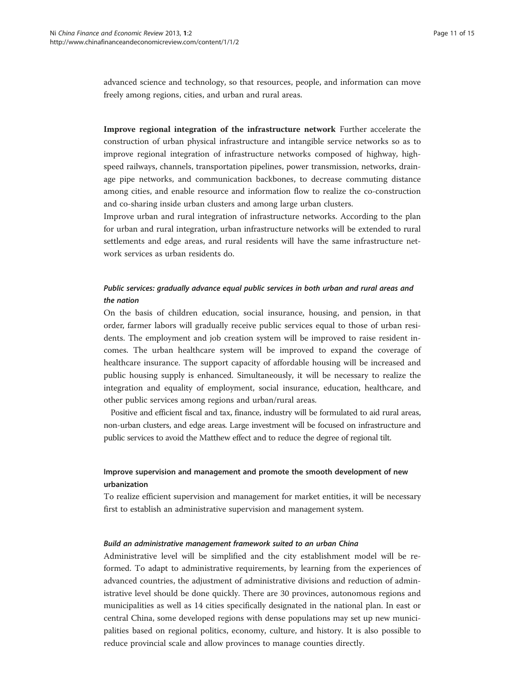advanced science and technology, so that resources, people, and information can move freely among regions, cities, and urban and rural areas.

Improve regional integration of the infrastructure network Further accelerate the construction of urban physical infrastructure and intangible service networks so as to improve regional integration of infrastructure networks composed of highway, highspeed railways, channels, transportation pipelines, power transmission, networks, drainage pipe networks, and communication backbones, to decrease commuting distance among cities, and enable resource and information flow to realize the co-construction and co-sharing inside urban clusters and among large urban clusters.

Improve urban and rural integration of infrastructure networks. According to the plan for urban and rural integration, urban infrastructure networks will be extended to rural settlements and edge areas, and rural residents will have the same infrastructure network services as urban residents do.

# Public services: gradually advance equal public services in both urban and rural areas and the nation

On the basis of children education, social insurance, housing, and pension, in that order, farmer labors will gradually receive public services equal to those of urban residents. The employment and job creation system will be improved to raise resident incomes. The urban healthcare system will be improved to expand the coverage of healthcare insurance. The support capacity of affordable housing will be increased and public housing supply is enhanced. Simultaneously, it will be necessary to realize the integration and equality of employment, social insurance, education, healthcare, and other public services among regions and urban/rural areas.

Positive and efficient fiscal and tax, finance, industry will be formulated to aid rural areas, non-urban clusters, and edge areas. Large investment will be focused on infrastructure and public services to avoid the Matthew effect and to reduce the degree of regional tilt.

# Improve supervision and management and promote the smooth development of new urbanization

To realize efficient supervision and management for market entities, it will be necessary first to establish an administrative supervision and management system.

## Build an administrative management framework suited to an urban China

Administrative level will be simplified and the city establishment model will be reformed. To adapt to administrative requirements, by learning from the experiences of advanced countries, the adjustment of administrative divisions and reduction of administrative level should be done quickly. There are 30 provinces, autonomous regions and municipalities as well as 14 cities specifically designated in the national plan. In east or central China, some developed regions with dense populations may set up new municipalities based on regional politics, economy, culture, and history. It is also possible to reduce provincial scale and allow provinces to manage counties directly.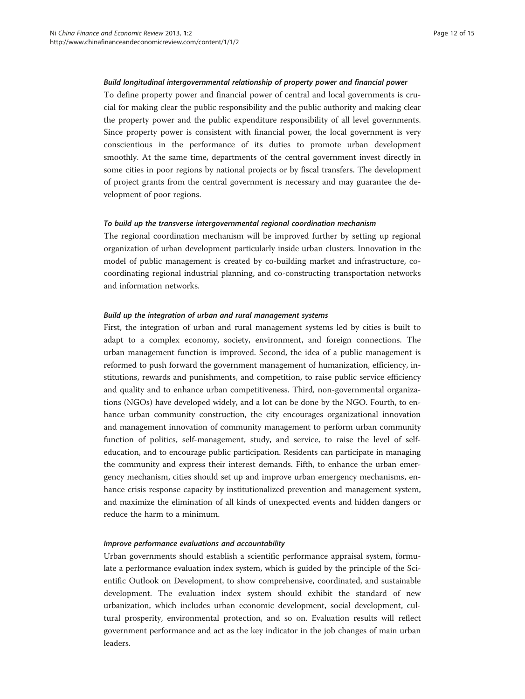#### Build longitudinal intergovernmental relationship of property power and financial power

To define property power and financial power of central and local governments is crucial for making clear the public responsibility and the public authority and making clear the property power and the public expenditure responsibility of all level governments. Since property power is consistent with financial power, the local government is very conscientious in the performance of its duties to promote urban development smoothly. At the same time, departments of the central government invest directly in some cities in poor regions by national projects or by fiscal transfers. The development of project grants from the central government is necessary and may guarantee the development of poor regions.

## To build up the transverse intergovernmental regional coordination mechanism

The regional coordination mechanism will be improved further by setting up regional organization of urban development particularly inside urban clusters. Innovation in the model of public management is created by co-building market and infrastructure, cocoordinating regional industrial planning, and co-constructing transportation networks and information networks.

#### Build up the integration of urban and rural management systems

First, the integration of urban and rural management systems led by cities is built to adapt to a complex economy, society, environment, and foreign connections. The urban management function is improved. Second, the idea of a public management is reformed to push forward the government management of humanization, efficiency, institutions, rewards and punishments, and competition, to raise public service efficiency and quality and to enhance urban competitiveness. Third, non-governmental organizations (NGOs) have developed widely, and a lot can be done by the NGO. Fourth, to enhance urban community construction, the city encourages organizational innovation and management innovation of community management to perform urban community function of politics, self-management, study, and service, to raise the level of selfeducation, and to encourage public participation. Residents can participate in managing the community and express their interest demands. Fifth, to enhance the urban emergency mechanism, cities should set up and improve urban emergency mechanisms, enhance crisis response capacity by institutionalized prevention and management system, and maximize the elimination of all kinds of unexpected events and hidden dangers or reduce the harm to a minimum.

# Improve performance evaluations and accountability

Urban governments should establish a scientific performance appraisal system, formulate a performance evaluation index system, which is guided by the principle of the Scientific Outlook on Development, to show comprehensive, coordinated, and sustainable development. The evaluation index system should exhibit the standard of new urbanization, which includes urban economic development, social development, cultural prosperity, environmental protection, and so on. Evaluation results will reflect government performance and act as the key indicator in the job changes of main urban leaders.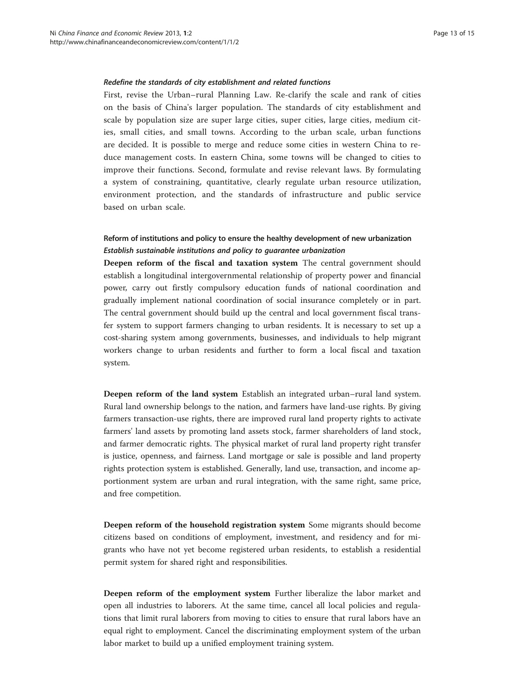#### Redefine the standards of city establishment and related functions

First, revise the Urban–rural Planning Law. Re-clarify the scale and rank of cities on the basis of China's larger population. The standards of city establishment and scale by population size are super large cities, super cities, large cities, medium cities, small cities, and small towns. According to the urban scale, urban functions are decided. It is possible to merge and reduce some cities in western China to reduce management costs. In eastern China, some towns will be changed to cities to improve their functions. Second, formulate and revise relevant laws. By formulating a system of constraining, quantitative, clearly regulate urban resource utilization, environment protection, and the standards of infrastructure and public service based on urban scale.

# Reform of institutions and policy to ensure the healthy development of new urbanization Establish sustainable institutions and policy to guarantee urbanization

Deepen reform of the fiscal and taxation system The central government should establish a longitudinal intergovernmental relationship of property power and financial power, carry out firstly compulsory education funds of national coordination and gradually implement national coordination of social insurance completely or in part. The central government should build up the central and local government fiscal transfer system to support farmers changing to urban residents. It is necessary to set up a cost-sharing system among governments, businesses, and individuals to help migrant workers change to urban residents and further to form a local fiscal and taxation system.

Deepen reform of the land system Establish an integrated urban–rural land system. Rural land ownership belongs to the nation, and farmers have land-use rights. By giving farmers transaction-use rights, there are improved rural land property rights to activate farmers' land assets by promoting land assets stock, farmer shareholders of land stock, and farmer democratic rights. The physical market of rural land property right transfer is justice, openness, and fairness. Land mortgage or sale is possible and land property rights protection system is established. Generally, land use, transaction, and income apportionment system are urban and rural integration, with the same right, same price, and free competition.

Deepen reform of the household registration system Some migrants should become citizens based on conditions of employment, investment, and residency and for migrants who have not yet become registered urban residents, to establish a residential permit system for shared right and responsibilities.

Deepen reform of the employment system Further liberalize the labor market and open all industries to laborers. At the same time, cancel all local policies and regulations that limit rural laborers from moving to cities to ensure that rural labors have an equal right to employment. Cancel the discriminating employment system of the urban labor market to build up a unified employment training system.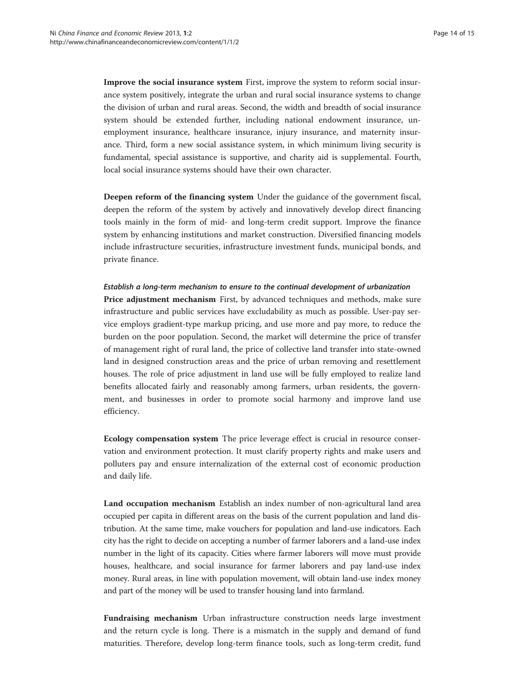Improve the social insurance system First, improve the system to reform social insurance system positively, integrate the urban and rural social insurance systems to change the division of urban and rural areas. Second, the width and breadth of social insurance system should be extended further, including national endowment insurance, unemployment insurance, healthcare insurance, injury insurance, and maternity insurance. Third, form a new social assistance system, in which minimum living security is fundamental, special assistance is supportive, and charity aid is supplemental. Fourth, local social insurance systems should have their own character.

Deepen reform of the financing system Under the guidance of the government fiscal, deepen the reform of the system by actively and innovatively develop direct financing tools mainly in the form of mid- and long-term credit support. Improve the finance system by enhancing institutions and market construction. Diversified financing models include infrastructure securities, infrastructure investment funds, municipal bonds, and private finance.

Establish a long-term mechanism to ensure to the continual development of urbanization Price adjustment mechanism First, by advanced techniques and methods, make sure infrastructure and public services have excludability as much as possible. User-pay service employs gradient-type markup pricing, and use more and pay more, to reduce the burden on the poor population. Second, the market will determine the price of transfer of management right of rural land, the price of collective land transfer into state-owned land in designed construction areas and the price of urban removing and resettlement houses. The role of price adjustment in land use will be fully employed to realize land benefits allocated fairly and reasonably among farmers, urban residents, the government, and businesses in order to promote social harmony and improve land use efficiency.

Ecology compensation system The price leverage effect is crucial in resource conservation and environment protection. It must clarify property rights and make users and polluters pay and ensure internalization of the external cost of economic production and daily life.

Land occupation mechanism Establish an index number of non-agricultural land area occupied per capita in different areas on the basis of the current population and land distribution. At the same time, make vouchers for population and land-use indicators. Each city has the right to decide on accepting a number of farmer laborers and a land-use index number in the light of its capacity. Cities where farmer laborers will move must provide houses, healthcare, and social insurance for farmer laborers and pay land-use index money. Rural areas, in line with population movement, will obtain land-use index money and part of the money will be used to transfer housing land into farmland.

Fundraising mechanism Urban infrastructure construction needs large investment and the return cycle is long. There is a mismatch in the supply and demand of fund maturities. Therefore, develop long-term finance tools, such as long-term credit, fund